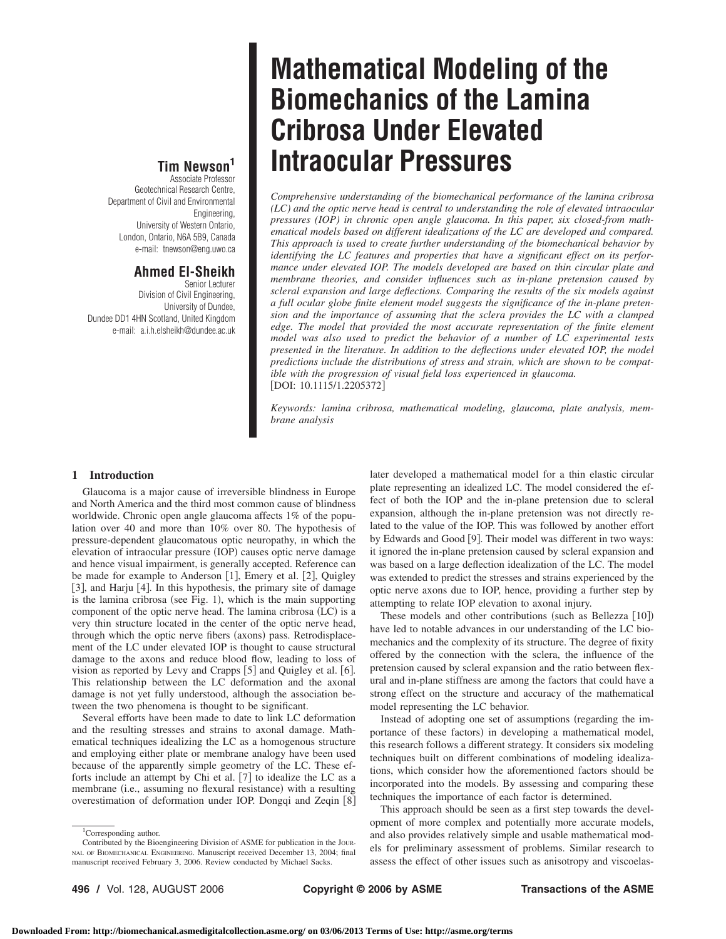# **Tim Newson<sup>1</sup>**

Associate Professor Geotechnical Research Centre, Department of Civil and Environmental Engineering, University of Western Ontario, London, Ontario, N6A 5B9, Canada e-mail: tnewson@eng.uwo.ca

# **Ahmed El-Sheikh**

Senior Lecturer Division of Civil Engineering, University of Dundee, Dundee DD1 4HN Scotland, United Kingdom e-mail: a.i.h.elsheikh@dundee.ac.uk

# **Mathematical Modeling of the Biomechanics of the Lamina Cribrosa Under Elevated Intraocular Pressures**

*Comprehensive understanding of the biomechanical performance of the lamina cribrosa (LC) and the optic nerve head is central to understanding the role of elevated intraocular pressures (IOP) in chronic open angle glaucoma. In this paper, six closed-from mathematical models based on different idealizations of the LC are developed and compared. This approach is used to create further understanding of the biomechanical behavior by identifying the LC features and properties that have a significant effect on its performance under elevated IOP. The models developed are based on thin circular plate and membrane theories, and consider influences such as in-plane pretension caused by scleral expansion and large deflections. Comparing the results of the six models against a full ocular globe finite element model suggests the significance of the in-plane pretension and the importance of assuming that the sclera provides the LC with a clamped edge. The model that provided the most accurate representation of the finite element model was also used to predict the behavior of a number of LC experimental tests presented in the literature. In addition to the deflections under elevated IOP, the model predictions include the distributions of stress and strain, which are shown to be compatible with the progression of visual field loss experienced in glaucoma.* [DOI: 10.1115/1.2205372]

*Keywords: lamina cribrosa, mathematical modeling, glaucoma, plate analysis, membrane analysis*

# **1 Introduction**

Glaucoma is a major cause of irreversible blindness in Europe and North America and the third most common cause of blindness worldwide. Chronic open angle glaucoma affects 1% of the population over 40 and more than 10% over 80. The hypothesis of pressure-dependent glaucomatous optic neuropathy, in which the elevation of intraocular pressure (IOP) causes optic nerve damage and hence visual impairment, is generally accepted. Reference can be made for example to Anderson [1], Emery et al. [2], Quigley [3], and Harju [4]. In this hypothesis, the primary site of damage is the lamina cribrosa (see Fig. 1), which is the main supporting component of the optic nerve head. The lamina cribrosa (LC) is a very thin structure located in the center of the optic nerve head, through which the optic nerve fibers (axons) pass. Retrodisplacement of the LC under elevated IOP is thought to cause structural damage to the axons and reduce blood flow, leading to loss of vision as reported by Levy and Crapps [5] and Quigley et al. [6]. This relationship between the LC deformation and the axonal damage is not yet fully understood, although the association between the two phenomena is thought to be significant.

Several efforts have been made to date to link LC deformation and the resulting stresses and strains to axonal damage. Mathematical techniques idealizing the LC as a homogenous structure and employing either plate or membrane analogy have been used because of the apparently simple geometry of the LC. These efforts include an attempt by Chi et al. [7] to idealize the LC as a membrane (i.e., assuming no flexural resistance) with a resulting overestimation of deformation under IOP. Dongqi and Zeqin [8]

later developed a mathematical model for a thin elastic circular plate representing an idealized LC. The model considered the effect of both the IOP and the in-plane pretension due to scleral expansion, although the in-plane pretension was not directly related to the value of the IOP. This was followed by another effort by Edwards and Good [9]. Their model was different in two ways: it ignored the in-plane pretension caused by scleral expansion and was based on a large deflection idealization of the LC. The model was extended to predict the stresses and strains experienced by the optic nerve axons due to IOP, hence, providing a further step by attempting to relate IOP elevation to axonal injury.

These models and other contributions (such as Bellezza [10]) have led to notable advances in our understanding of the LC biomechanics and the complexity of its structure. The degree of fixity offered by the connection with the sclera, the influence of the pretension caused by scleral expansion and the ratio between flexural and in-plane stiffness are among the factors that could have a strong effect on the structure and accuracy of the mathematical model representing the LC behavior.

Instead of adopting one set of assumptions (regarding the importance of these factors) in developing a mathematical model, this research follows a different strategy. It considers six modeling techniques built on different combinations of modeling idealizations, which consider how the aforementioned factors should be incorporated into the models. By assessing and comparing these techniques the importance of each factor is determined.

This approach should be seen as a first step towards the development of more complex and potentially more accurate models, and also provides relatively simple and usable mathematical models for preliminary assessment of problems. Similar research to assess the effect of other issues such as anisotropy and viscoelas-

<sup>&</sup>lt;sup>1</sup>Corresponding author.

Contributed by the Bioengineering Division of ASME for publication in the JOUR-NAL OF BIOMECHANICAL ENGINEERING. Manuscript received December 13, 2004; final manuscript received February 3, 2006. Review conducted by Michael Sacks.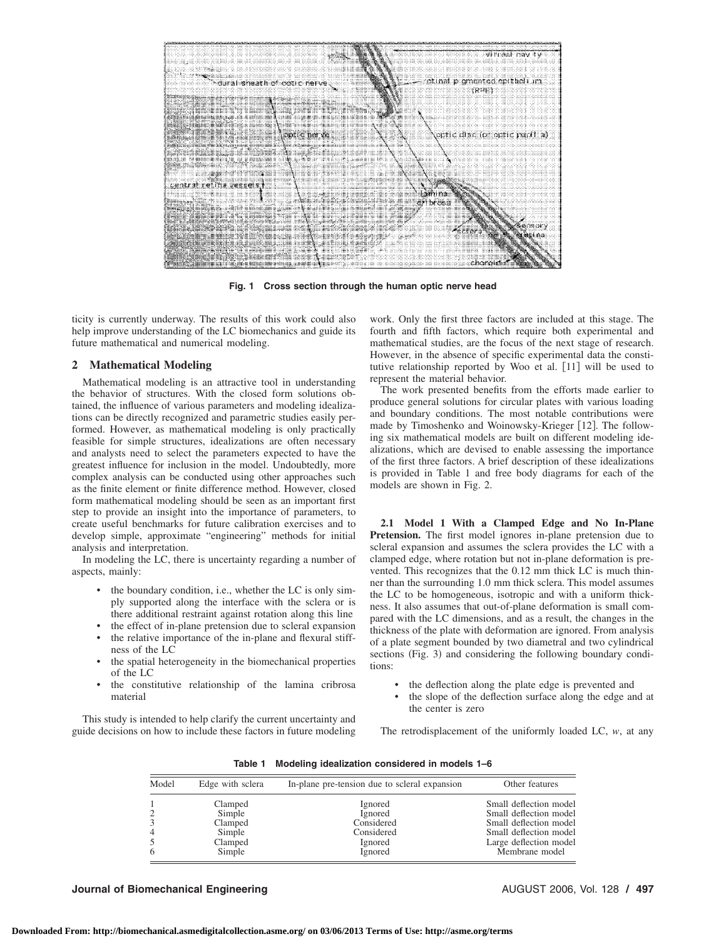

**Fig. 1 Cross section through the human optic nerve head**

ticity is currently underway. The results of this work could also help improve understanding of the LC biomechanics and guide its future mathematical and numerical modeling.

# **2 Mathematical Modeling**

Mathematical modeling is an attractive tool in understanding the behavior of structures. With the closed form solutions obtained, the influence of various parameters and modeling idealizations can be directly recognized and parametric studies easily performed. However, as mathematical modeling is only practically feasible for simple structures, idealizations are often necessary and analysts need to select the parameters expected to have the greatest influence for inclusion in the model. Undoubtedly, more complex analysis can be conducted using other approaches such as the finite element or finite difference method. However, closed form mathematical modeling should be seen as an important first step to provide an insight into the importance of parameters, to create useful benchmarks for future calibration exercises and to develop simple, approximate "engineering" methods for initial analysis and interpretation.

In modeling the LC, there is uncertainty regarding a number of aspects, mainly:

- the boundary condition, i.e., whether the LC is only simply supported along the interface with the sclera or is there additional restraint against rotation along this line
- the effect of in-plane pretension due to scleral expansion
- the relative importance of the in-plane and flexural stiffness of the LC
- the spatial heterogeneity in the biomechanical properties of the LC
- the constitutive relationship of the lamina cribrosa material

This study is intended to help clarify the current uncertainty and guide decisions on how to include these factors in future modeling

work. Only the first three factors are included at this stage. The fourth and fifth factors, which require both experimental and mathematical studies, are the focus of the next stage of research. However, in the absence of specific experimental data the constitutive relationship reported by Woo et al. [11] will be used to represent the material behavior.

The work presented benefits from the efforts made earlier to produce general solutions for circular plates with various loading and boundary conditions. The most notable contributions were made by Timoshenko and Woinowsky-Krieger [12]. The following six mathematical models are built on different modeling idealizations, which are devised to enable assessing the importance of the first three factors. A brief description of these idealizations is provided in Table 1 and free body diagrams for each of the models are shown in Fig. 2.

**2.1 Model 1 With a Clamped Edge and No In-Plane Pretension.** The first model ignores in-plane pretension due to scleral expansion and assumes the sclera provides the LC with a clamped edge, where rotation but not in-plane deformation is prevented. This recognizes that the 0.12 mm thick LC is much thinner than the surrounding 1.0 mm thick sclera. This model assumes the LC to be homogeneous, isotropic and with a uniform thickness. It also assumes that out-of-plane deformation is small compared with the LC dimensions, and as a result, the changes in the thickness of the plate with deformation are ignored. From analysis of a plate segment bounded by two diametral and two cylindrical sections (Fig. 3) and considering the following boundary conditions:

- the deflection along the plate edge is prevented and
- the slope of the deflection surface along the edge and at the center is zero

The retrodisplacement of the uniformly loaded LC, *w*, at any

**Table 1 Modeling idealization considered in models 1–6**

| Model | Edge with sclera | In-plane pre-tension due to scleral expansion | Other features         |  |
|-------|------------------|-----------------------------------------------|------------------------|--|
|       | Clamped          | Ignored                                       | Small deflection model |  |
|       | Simple           | Ignored                                       | Small deflection model |  |
|       | Clamped          | Considered                                    | Small deflection model |  |
|       | Simple           | Considered                                    | Small deflection model |  |
|       | Clamped          | Ignored                                       | Large deflection model |  |
|       | Simple           | Ignored                                       | Membrane model         |  |

**Journal of Biomechanical Engineering** AUGUST 2006, Vol. 128 / 497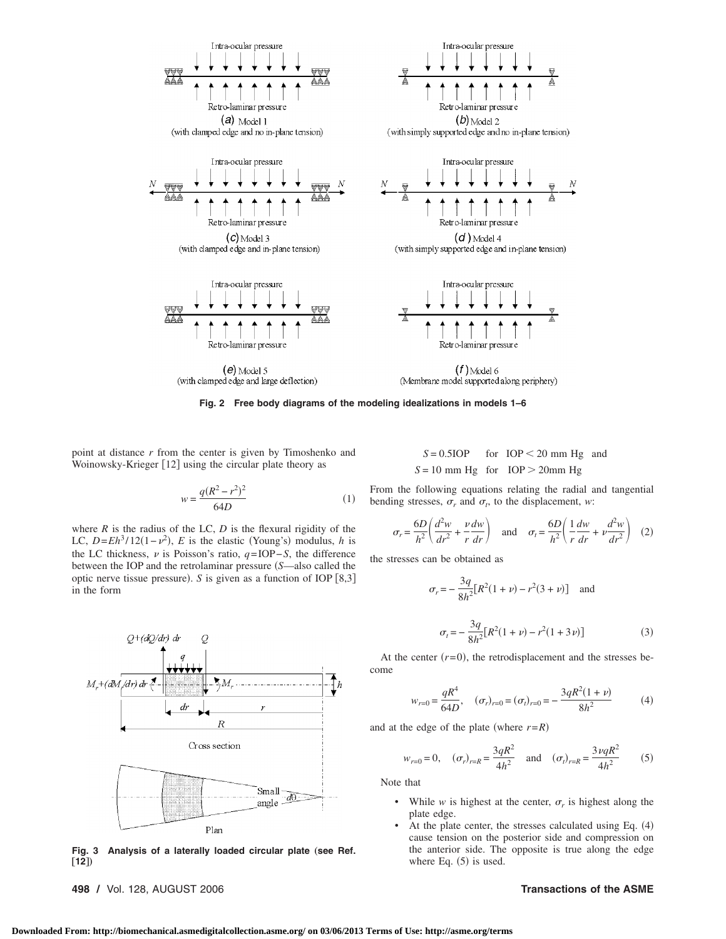

point at distance *r* from the center is given by Timoshenko and Woinowsky-Krieger [12] using the circular plate theory as

$$
w = \frac{q(R^2 - r^2)^2}{64D} \tag{1}
$$

where  $R$  is the radius of the LC,  $D$  is the flexural rigidity of the LC,  $D= Eh^3/12(1-\nu^2)$ , *E* is the elastic (Young's) modulus, *h* is the LC thickness,  $\nu$  is Poisson's ratio,  $q = IOP-S$ , the difference between the IOP and the retrolaminar pressure *S*—also called the optic nerve tissue pressure). *S* is given as a function of IOP  $[8,3]$ in the form



Fig. 3 Analysis of a laterally loaded circular plate (see Ref.  $[12]$ 

**498 /** Vol. 128, AUGUST 2006 **Transactions of the ASME**

 $S = 0.5$ IOP for IOP < 20 mm Hg and  $S = 10$  mm Hg for  $IOP > 20$ mm Hg

From the following equations relating the radial and tangential bending stresses,  $\sigma_r$  and  $\sigma_t$ , to the displacement, *w*:

$$
\sigma_r = \frac{6D}{h^2} \left( \frac{d^2w}{dr^2} + \frac{\nu \, dw}{r \, dr} \right) \quad \text{and} \quad \sigma_t = \frac{6D}{h^2} \left( \frac{1}{r} \frac{dw}{dr} + \frac{d^2w}{dr^2} \right) \tag{2}
$$

the stresses can be obtained as

$$
\sigma_r = -\frac{3q}{8h^2} [R^2(1+\nu) - r^2(3+\nu)] \text{ and}
$$

$$
\sigma_t = -\frac{3q}{8h^2} [R^2(1+\nu) - r^2(1+3\nu)] \tag{3}
$$

At the center  $(r=0)$ , the retrodisplacement and the stresses become

$$
w_{r=0} = \frac{qR^4}{64D}, \quad (\sigma_r)_{r=0} = (\sigma_t)_{r=0} = -\frac{3qR^2(1+\nu)}{8h^2}
$$
(4)

and at the edge of the plate (where  $r = R$ )

$$
w_{r=0} = 0
$$
,  $(\sigma_r)_{r=R} = \frac{3qR^2}{4h^2}$  and  $(\sigma_r)_{r=R} = \frac{3\nu qR^2}{4h^2}$  (5)

Note that

- While *w* is highest at the center,  $\sigma_r$  is highest along the plate edge.
- At the plate center, the stresses calculated using Eq.  $(4)$ cause tension on the posterior side and compression on the anterior side. The opposite is true along the edge where Eq.  $(5)$  is used.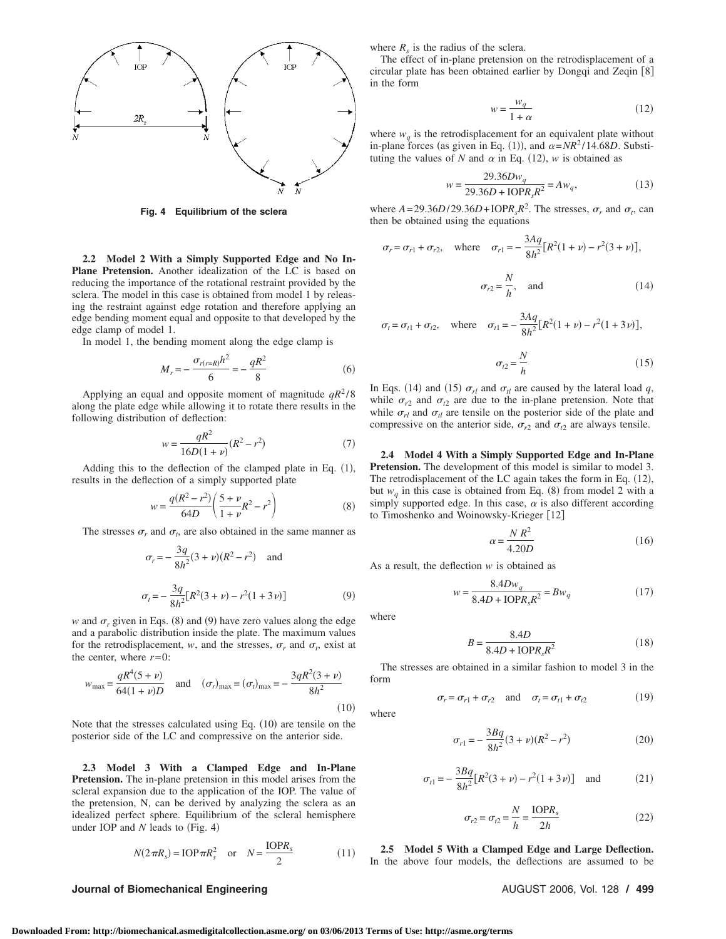

**Fig. 4 Equilibrium of the sclera**

**2.2 Model 2 With a Simply Supported Edge and No In-Plane Pretension.** Another idealization of the LC is based on reducing the importance of the rotational restraint provided by the sclera. The model in this case is obtained from model 1 by releasing the restraint against edge rotation and therefore applying an edge bending moment equal and opposite to that developed by the edge clamp of model 1.

In model 1, the bending moment along the edge clamp is

$$
M_r = -\frac{\sigma_{r(r=R)}h^2}{6} = -\frac{qR^2}{8}
$$
 (6)

Applying an equal and opposite moment of magnitude  $qR^2/8$ along the plate edge while allowing it to rotate there results in the following distribution of deflection:

$$
w = \frac{qR^2}{16D(1+\nu)}(R^2 - r^2)
$$
\n(7)

Adding this to the deflection of the clamped plate in Eq.  $(1)$ , results in the deflection of a simply supported plate

$$
w = \frac{q(R^2 - r^2)}{64D} \left( \frac{5 + \nu}{1 + \nu} R^2 - r^2 \right)
$$
 (8)

The stresses  $\sigma_r$  and  $\sigma_t$ , are also obtained in the same manner as

$$
\sigma_r = -\frac{3q}{8h^2}(3+\nu)(R^2 - r^2) \text{ and}
$$
  

$$
\sigma_t = -\frac{3q}{8h^2}[R^2(3+\nu) - r^2(1+3\nu)]
$$
 (9)

*w* and  $\sigma_r$  given in Eqs. (8) and (9) have zero values along the edge and a parabolic distribution inside the plate. The maximum values for the retrodisplacement, *w*, and the stresses,  $\sigma_r$  and  $\sigma_t$ , exist at the center, where  $r=0$ :

$$
w_{\text{max}} = \frac{qR^4(5+\nu)}{64(1+\nu)D} \quad \text{and} \quad (\sigma_r)_{\text{max}} = (\sigma_t)_{\text{max}} = -\frac{3qR^2(3+\nu)}{8h^2}
$$
\n(10)

Note that the stresses calculated using Eq.  $(10)$  are tensile on the posterior side of the LC and compressive on the anterior side.

**2.3 Model 3 With a Clamped Edge and In-Plane Pretension.** The in-plane pretension in this model arises from the scleral expansion due to the application of the IOP. The value of the pretension, N, can be derived by analyzing the sclera as an idealized perfect sphere. Equilibrium of the scleral hemisphere under IOP and *N* leads to (Fig. 4)

$$
N(2\pi R_s) = \text{IOP}\pi R_s^2 \quad \text{or} \quad N = \frac{\text{IOPR}_s}{2} \tag{11}
$$

# **Journal of Biomechanical Engineering** AUGUST 2006, Vol. 128 / 499

where  $R<sub>s</sub>$  is the radius of the sclera.

The effect of in-plane pretension on the retrodisplacement of a circular plate has been obtained earlier by Dongqi and Zeqin [8] in the form

$$
w = \frac{w_q}{1 + \alpha} \tag{12}
$$

where  $w_q$  is the retrodisplacement for an equivalent plate without in-plane forces (as given in Eq. (1)), and  $\alpha = NR^2 / 14.68D$ . Substituting the values of *N* and  $\alpha$  in Eq. (12), *w* is obtained as

$$
w = \frac{29.36Dw_q}{29.36D + \text{IOPR}_s R^2} = A w_q,
$$
\n(13)

where  $A = 29.36D/29.36D + IOPR_sR^2$ . The stresses,  $\sigma_r$  and  $\sigma_t$ , can then be obtained using the equations

$$
\sigma_r = \sigma_{r1} + \sigma_{r2}
$$
, where  $\sigma_{r1} = -\frac{3Aq}{8h^2} [R^2(1+\nu) - r^2(3+\nu)],$ 

$$
\sigma_{r2} = \frac{N}{h}, \quad \text{and} \tag{14}
$$

$$
\sigma_t = \sigma_{t1} + \sigma_{t2}
$$
, where  $\sigma_{t1} = -\frac{3Aq}{8h^2} [R^2(1+\nu) - r^2(1+3\nu)],$ 

$$
\sigma_{t2} = \frac{N}{h} \tag{15}
$$

In Eqs. (14) and (15)  $\sigma_{rl}$  and  $\sigma_{tl}$  are caused by the lateral load *q*, while  $\sigma_{r2}$  and  $\sigma_{t2}$  are due to the in-plane pretension. Note that while  $\sigma_{rl}$  and  $\sigma_{tl}$  are tensile on the posterior side of the plate and compressive on the anterior side,  $\sigma_{r2}$  and  $\sigma_{r2}$  are always tensile.

**2.4 Model 4 With a Simply Supported Edge and In-Plane Pretension.** The development of this model is similar to model 3. The retrodisplacement of the LC again takes the form in Eq. (12), but  $w_a$  in this case is obtained from Eq. (8) from model 2 with a simply supported edge. In this case,  $\alpha$  is also different according to Timoshenko and Woinowsky-Krieger [12]

$$
\alpha = \frac{N R^2}{4.20D} \tag{16}
$$

As a result, the deflection *w* is obtained as

$$
w = \frac{8.4Dw_q}{8.4D + IOPR_sR^2} = Bw_q
$$
 (17)

where

$$
B = \frac{8.4D}{8.4D + \text{IOPR}_{s}R^{2}}
$$
(18)

The stresses are obtained in a similar fashion to model 3 in the form

$$
\sigma_r = \sigma_{r1} + \sigma_{r2} \quad \text{and} \quad \sigma_t = \sigma_{t1} + \sigma_{t2} \tag{19}
$$

where

$$
\sigma_{r1} = -\frac{3Bq}{8h^2}(3+\nu)(R^2 - r^2)
$$
\n(20)

$$
\sigma_{t1} = -\frac{3Bq}{8h^2} [R^2(3+\nu) - r^2(1+3\nu)] \text{ and } (21)
$$

$$
\sigma_{r2} = \sigma_{r2} = \frac{N}{h} = \frac{\text{IOPR}_s}{2h} \tag{22}
$$

**2.5 Model 5 With a Clamped Edge and Large Deflection.** In the above four models, the deflections are assumed to be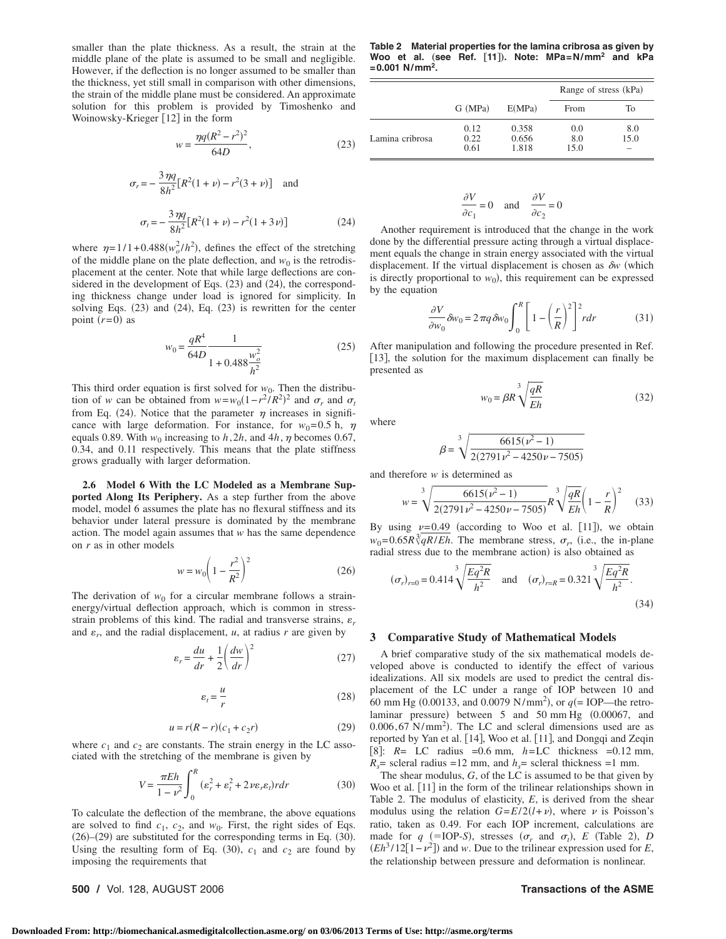smaller than the plate thickness. As a result, the strain at the middle plane of the plate is assumed to be small and negligible. However, if the deflection is no longer assumed to be smaller than the thickness, yet still small in comparison with other dimensions, the strain of the middle plane must be considered. An approximate solution for this problem is provided by Timoshenko and Woinowsky-Krieger [12] in the form

$$
w = \frac{\eta q (R^2 - r^2)^2}{64D},
$$
\n(23)

$$
\sigma_r = -\frac{3 \eta q}{8h^2} [R^2 (1 + \nu) - r^2 (3 + \nu)] \text{ and}
$$

$$
\sigma_t = -\frac{3 \eta q}{8h^2} [R^2 (1 + \nu) - r^2 (1 + 3 \nu)] \tag{24}
$$

where  $\eta = 1/1 + 0.488(w_o^2/h^2)$ , defines the effect of the stretching of the middle plane on the plate deflection, and  $w_0$  is the retrodisplacement at the center. Note that while large deflections are considered in the development of Eqs.  $(23)$  and  $(24)$ , the corresponding thickness change under load is ignored for simplicity. In solving Eqs.  $(23)$  and  $(24)$ , Eq.  $(23)$  is rewritten for the center point  $(r=0)$  as

$$
w_0 = \frac{qR^4}{64D} \frac{1}{1 + 0.488 \frac{w_o^2}{h^2}}
$$
 (25)

This third order equation is first solved for  $w_0$ . Then the distribution of *w* can be obtained from  $w = w_0(1 - r^2/R^2)^2$  and  $\sigma_r$  and  $\sigma_t$ from Eq. (24). Notice that the parameter  $\eta$  increases in significance with large deformation. For instance, for  $w_0 = 0.5$  h,  $\eta$ equals 0.89. With  $w_0$  increasing to  $h$ , 2 $h$ , and 4 $h$ ,  $\eta$  becomes 0.67, 0.34, and 0.11 respectively. This means that the plate stiffness grows gradually with larger deformation.

**2.6 Model 6 With the LC Modeled as a Membrane Supported Along Its Periphery.** As a step further from the above model, model 6 assumes the plate has no flexural stiffness and its behavior under lateral pressure is dominated by the membrane action. The model again assumes that *w* has the same dependence on *r* as in other models

$$
w = w_0 \left( 1 - \frac{r^2}{R^2} \right)^2
$$
 (26)

The derivation of  $w_0$  for a circular membrane follows a strainenergy/virtual deflection approach, which is common in stressstrain problems of this kind. The radial and transverse strains,  $\varepsilon_r$ and  $\varepsilon_r$ , and the radial displacement, *u*, at radius *r* are given by

$$
\varepsilon_r = \frac{du}{dr} + \frac{1}{2} \left( \frac{dw}{dr} \right)^2 \tag{27}
$$

$$
\varepsilon_t = -\frac{u}{r} \tag{28}
$$

$$
u = r(R - r)(c_1 + c_2r)
$$
 (29)

where  $c_1$  and  $c_2$  are constants. The strain energy in the LC associated with the stretching of the membrane is given by

$$
V = \frac{\pi E h}{1 - v^2} \int_0^R (\varepsilon_r^2 + \varepsilon_t^2 + 2\nu\varepsilon_r \varepsilon_t) r dr
$$
 (30)

To calculate the deflection of the membrane, the above equations are solved to find  $c_1$ ,  $c_2$ , and  $w_0$ . First, the right sides of Eqs.  $(26)$ – $(29)$  are substituted for the corresponding terms in Eq.  $(30)$ . Using the resulting form of Eq.  $(30)$ ,  $c_1$  and  $c_2$  are found by imposing the requirements that

**500 /** Vol. 128, AUGUST 2006 **Transactions of the ASME**

**Table 2 Material properties for the lamina cribrosa as given by Woo et al.** "**see Ref.** †**11**‡…**. Note: MPa=N/mm<sup>2</sup> and kPa =0.001 N/mm2.**

|                 |                      |                         | Range of stress (kPa) |             |
|-----------------|----------------------|-------------------------|-----------------------|-------------|
|                 | G (MPa)              | E(MPa)                  | From                  | To          |
| Lamina cribrosa | 0.12<br>0.22<br>0.61 | 0.358<br>0.656<br>1.818 | 0.0<br>8.0<br>15.0    | 8.0<br>15.0 |

$$
\frac{\partial V}{\partial c_1} = 0 \quad \text{and} \quad \frac{\partial V}{\partial c_2} = 0
$$

Another requirement is introduced that the change in the work done by the differential pressure acting through a virtual displacement equals the change in strain energy associated with the virtual displacement. If the virtual displacement is chosen as  $\delta w$  (which is directly proportional to  $w_0$ ), this requirement can be expressed by the equation

$$
\frac{\partial V}{\partial w_0} \delta w_0 = 2\pi q \delta w_0 \int_0^R \left[1 - \left(\frac{r}{R}\right)^2\right]^2 r dr \tag{31}
$$

After manipulation and following the procedure presented in Ref. [13], the solution for the maximum displacement can finally be presented as

$$
w_0 = \beta R \sqrt{\frac{qR}{Eh}}
$$
 (32)

where

$$
\beta = \sqrt[3]{\frac{6615(v^2 - 1)}{2(2791v^2 - 4250v - 7505)}}
$$

and therefore *w* is determined as

$$
w = \sqrt[3]{\frac{6615(v^2 - 1)}{2(2791v^2 - 4250v - 7505)}} R \sqrt[3]{\frac{qR}{Eh}} \left(1 - \frac{r}{R}\right)^2
$$
 (33)

By using  $\nu = 0.49$  (according to Woo et al. [11]), we obtain  $w_0 = 0.65R\sqrt[3]{qR/Eh}$ . The membrane stress,  $\sigma_r$ , (i.e., the in-plane radial stress due to the membrane action) is also obtained as

$$
(\sigma_r)_{r=0} = 0.414 \sqrt[3]{\frac{Eq^2 R}{h^2}}
$$
 and  $(\sigma_r)_{r=R} = 0.321 \sqrt[3]{\frac{Eq^2 R}{h^2}}$ . (34)

## **3 Comparative Study of Mathematical Models**

A brief comparative study of the six mathematical models developed above is conducted to identify the effect of various idealizations. All six models are used to predict the central displacement of the LC under a range of IOP between 10 and 60 mm Hg (0.00133, and 0.0079 N/mm<sup>2</sup>), or  $q(= IOP$ —the retrolaminar pressure) between  $5$  and  $50$  mm Hg  $(0.00067,$  and  $0.006, 67$  N/mm<sup>2</sup>). The LC and scleral dimensions used are as reported by Yan et al. [14], Woo et al. [11], and Dongqi and Zeqin [8]:  $R = LC$  radius =0.6 mm,  $h = LC$  thickness =0.12 mm,  $R<sub>s</sub>=$  scleral radius =12 mm, and  $h<sub>s</sub>=$  scleral thickness =1 mm.

The shear modulus, *G*, of the LC is assumed to be that given by Woo et al. [11] in the form of the trilinear relationships shown in Table 2. The modulus of elasticity, *E*, is derived from the shear modulus using the relation  $G = E/2(l + \nu)$ , where  $\nu$  is Poisson's ratio, taken as 0.49. For each IOP increment, calculations are made for *q* (=IOP-*S*), stresses  $(\sigma_r$  and  $\sigma_t$ ), *E* (Table 2), *D*  $(Eh<sup>3</sup>/12[1-\nu<sup>2</sup>]$  and *w*. Due to the trilinear expression used for *E*, the relationship between pressure and deformation is nonlinear.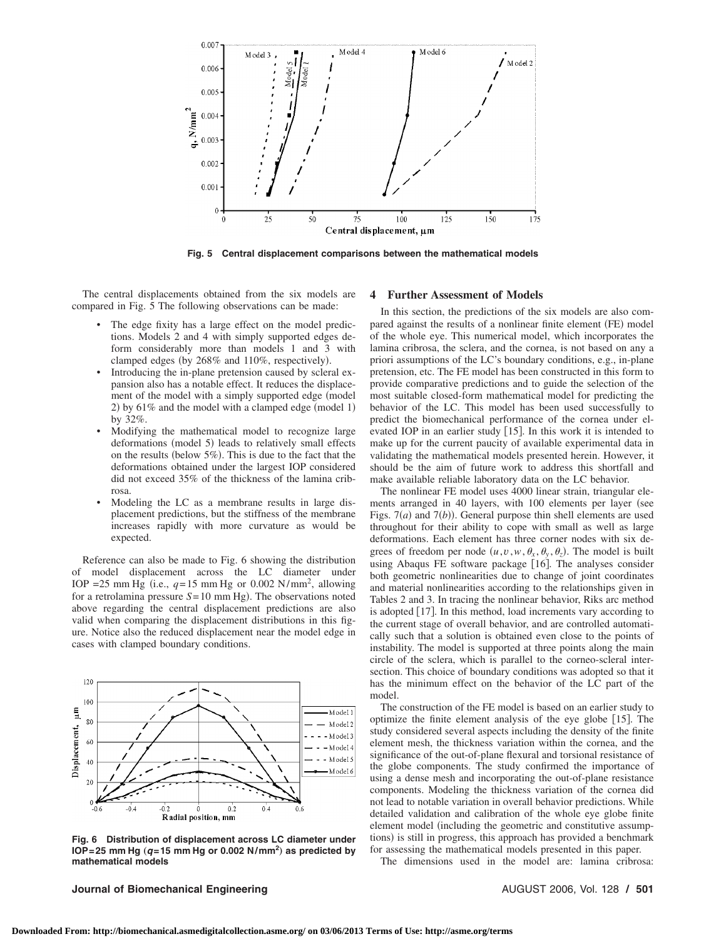

**Fig. 5 Central displacement comparisons between the mathematical models**

The central displacements obtained from the six models are compared in Fig. 5 The following observations can be made:

- The edge fixity has a large effect on the model predictions. Models 2 and 4 with simply supported edges deform considerably more than models 1 and 3 with clamped edges (by  $268\%$  and  $110\%$ , respectively).
- Introducing the in-plane pretension caused by scleral expansion also has a notable effect. It reduces the displacement of the model with a simply supported edge (model 2) by  $61\%$  and the model with a clamped edge (model 1) by 32%.
- Modifying the mathematical model to recognize large deformations (model 5) leads to relatively small effects on the results (below  $5\%$ ). This is due to the fact that the deformations obtained under the largest IOP considered did not exceed 35% of the thickness of the lamina cribrosa.
- Modeling the LC as a membrane results in large displacement predictions, but the stiffness of the membrane increases rapidly with more curvature as would be expected.

Reference can also be made to Fig. 6 showing the distribution of model displacement across the LC diameter under IOP =25 mm Hg (i.e.,  $q=15$  mm Hg or 0.002 N/mm<sup>2</sup>, allowing for a retrolamina pressure  $S = 10$  mm Hg. The observations noted above regarding the central displacement predictions are also valid when comparing the displacement distributions in this figure. Notice also the reduced displacement near the model edge in cases with clamped boundary conditions.



**Fig. 6 Distribution of displacement across LC diameter under**  $IOP=25$  mm Hg  $(q=15$  mm Hg or 0.002 N/mm<sup>2</sup>) as predicted by **mathematical models**

# **4 Further Assessment of Models**

In this section, the predictions of the six models are also compared against the results of a nonlinear finite element (FE) model of the whole eye. This numerical model, which incorporates the lamina cribrosa, the sclera, and the cornea, is not based on any a priori assumptions of the LC's boundary conditions, e.g., in-plane pretension, etc. The FE model has been constructed in this form to provide comparative predictions and to guide the selection of the most suitable closed-form mathematical model for predicting the behavior of the LC. This model has been used successfully to predict the biomechanical performance of the cornea under elevated IOP in an earlier study [15]. In this work it is intended to make up for the current paucity of available experimental data in validating the mathematical models presented herein. However, it should be the aim of future work to address this shortfall and make available reliable laboratory data on the LC behavior.

The nonlinear FE model uses 4000 linear strain, triangular elements arranged in 40 layers, with 100 elements per layer (see Figs.  $7(a)$  and  $7(b)$ ). General purpose thin shell elements are used throughout for their ability to cope with small as well as large deformations. Each element has three corner nodes with six degrees of freedom per node  $(u, v, w, \theta_x, \theta_y, \theta_z)$ . The model is built using Abaqus FE software package [16]. The analyses consider both geometric nonlinearities due to change of joint coordinates and material nonlinearities according to the relationships given in Tables 2 and 3. In tracing the nonlinear behavior, Riks arc method is adopted [17]. In this method, load increments vary according to the current stage of overall behavior, and are controlled automatically such that a solution is obtained even close to the points of instability. The model is supported at three points along the main circle of the sclera, which is parallel to the corneo-scleral intersection. This choice of boundary conditions was adopted so that it has the minimum effect on the behavior of the LC part of the model.

The construction of the FE model is based on an earlier study to optimize the finite element analysis of the eye globe [15]. The study considered several aspects including the density of the finite element mesh, the thickness variation within the cornea, and the significance of the out-of-plane flexural and torsional resistance of the globe components. The study confirmed the importance of using a dense mesh and incorporating the out-of-plane resistance components. Modeling the thickness variation of the cornea did not lead to notable variation in overall behavior predictions. While detailed validation and calibration of the whole eye globe finite element model (including the geometric and constitutive assumptions) is still in progress, this approach has provided a benchmark for assessing the mathematical models presented in this paper. The dimensions used in the model are: lamina cribrosa:

**Journal of Biomechanical Engineering** AUGUST 2006, Vol. 128 / 501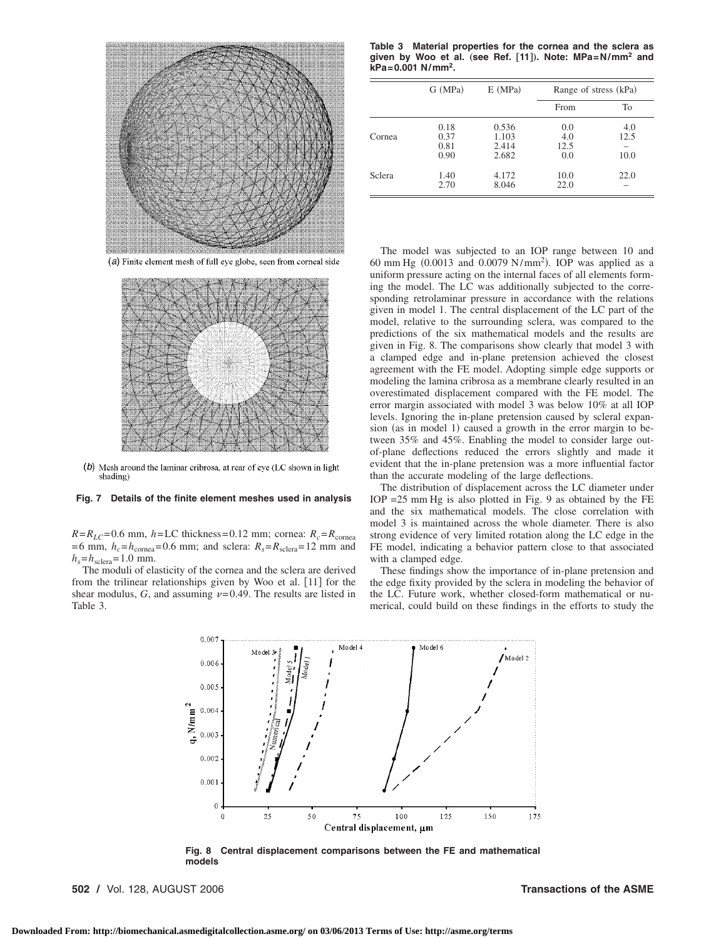

(a) Finite element mesh of full eye globe, seen from corneal side



(b) Mesh around the laminar cribrosa, at rear of eye (LC shown in light shading)

### **Fig. 7 Details of the finite element meshes used in analysis**

 $R = R_{LC} = 0.6$  mm,  $h = LC$  thickness= 0.12 mm; cornea:  $R_c = R_{cornea}$  $= 6$  mm,  $h_c = h_{\text{cornea}} = 0.6$  mm; and sclera:  $R_s = R_{\text{sclera}} = 12$  mm and  $h_s = h_{\text{sclera}} = 1.0$  mm.

The moduli of elasticity of the cornea and the sclera are derived from the trilinear relationships given by Woo et al. [11] for the shear modulus,  $G$ , and assuming  $\nu = 0.49$ . The results are listed in Table 3.

**Table 3 Material properties for the cornea and the sclera as given by Woo et al.** "**see Ref.** †**11**‡…**. Note: MPa=N/mm<sup>2</sup> and kPa=0.001 N/mm2.**

|        | G(MPa) | E(MPa) | Range of stress (kPa) |      |
|--------|--------|--------|-----------------------|------|
|        |        |        | From                  | To   |
|        | 0.18   | 0.536  | 0.0                   | 4.0  |
| Cornea | 0.37   | 1.103  | 4.0                   | 12.5 |
|        | 0.81   | 2.414  | 12.5                  |      |
|        | 0.90   | 2.682  | 0.0                   | 10.0 |
| Sclera | 1.40   | 4.172  | 10.0                  | 22.0 |
|        | 2.70   | 8.046  | 22.0                  |      |

The model was subjected to an IOP range between 10 and 60 mm Hg  $(0.0013$  and  $0.0079$  N/mm<sup>2</sup>). IOP was applied as a uniform pressure acting on the internal faces of all elements forming the model. The LC was additionally subjected to the corresponding retrolaminar pressure in accordance with the relations given in model 1. The central displacement of the LC part of the model, relative to the surrounding sclera, was compared to the predictions of the six mathematical models and the results are given in Fig. 8. The comparisons show clearly that model 3 with a clamped edge and in-plane pretension achieved the closest agreement with the FE model. Adopting simple edge supports or modeling the lamina cribrosa as a membrane clearly resulted in an overestimated displacement compared with the FE model. The error margin associated with model 3 was below 10% at all IOP levels. Ignoring the in-plane pretension caused by scleral expansion (as in model 1) caused a growth in the error margin to between 35% and 45%. Enabling the model to consider large outof-plane deflections reduced the errors slightly and made it evident that the in-plane pretension was a more influential factor than the accurate modeling of the large deflections.

The distribution of displacement across the LC diameter under IOP =25 mm Hg is also plotted in Fig. 9 as obtained by the FE and the six mathematical models. The close correlation with model 3 is maintained across the whole diameter. There is also strong evidence of very limited rotation along the LC edge in the FE model, indicating a behavior pattern close to that associated with a clamped edge.

These findings show the importance of in-plane pretension and the edge fixity provided by the sclera in modeling the behavior of the LC. Future work, whether closed-form mathematical or numerical, could build on these findings in the efforts to study the



**Fig. 8 Central displacement comparisons between the FE and mathematical models**

**502 /** Vol. 128, AUGUST 2006 **Transactions of the ASME**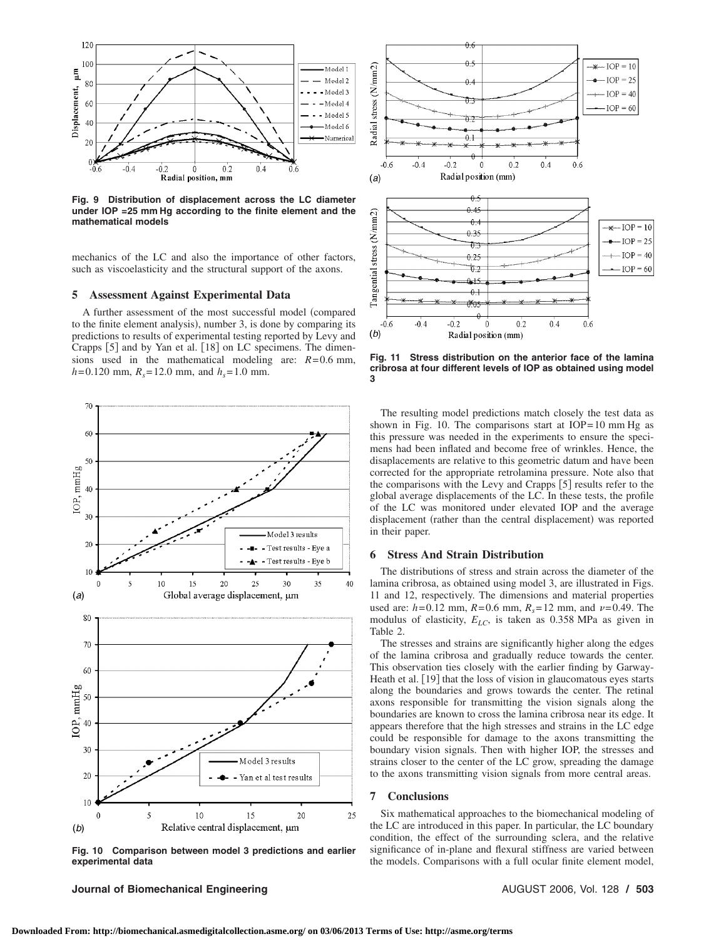

**Fig. 9 Distribution of displacement across the LC diameter under IOP =25 mm Hg according to the finite element and the mathematical models**

mechanics of the LC and also the importance of other factors, such as viscoelasticity and the structural support of the axons.

# **5 Assessment Against Experimental Data**

A further assessment of the most successful model compared to the finite element analysis, number 3, is done by comparing its predictions to results of experimental testing reported by Levy and Crapps [5] and by Yan et al. [18] on LC specimens. The dimensions used in the mathematical modeling are:  $R = 0.6$  mm,  $h = 0.120$  mm,  $R_s = 12.0$  mm, and  $h_s = 1.0$  mm.



**Fig. 10 Comparison between model 3 predictions and earlier experimental data**



**Fig. 11 Stress distribution on the anterior face of the lamina cribrosa at four different levels of IOP as obtained using model 3**

The resulting model predictions match closely the test data as shown in Fig. 10. The comparisons start at  $IOP=10$  mm Hg as this pressure was needed in the experiments to ensure the specimens had been inflated and become free of wrinkles. Hence, the disaplacements are relative to this geometric datum and have been corrected for the appropriate retrolamina pressure. Note also that the comparisons with the Levy and Crapps [5] results refer to the global average displacements of the LC. In these tests, the profile of the LC was monitored under elevated IOP and the average displacement (rather than the central displacement) was reported in their paper.

# **6 Stress And Strain Distribution**

The distributions of stress and strain across the diameter of the lamina cribrosa, as obtained using model 3, are illustrated in Figs. 11 and 12, respectively. The dimensions and material properties used are:  $h = 0.12$  mm,  $R = 0.6$  mm,  $R_s = 12$  mm, and  $\nu = 0.49$ . The modulus of elasticity, *ELC*, is taken as 0.358 MPa as given in Table 2.

The stresses and strains are significantly higher along the edges of the lamina cribrosa and gradually reduce towards the center. This observation ties closely with the earlier finding by Garway-Heath et al. [19] that the loss of vision in glaucomatous eyes starts along the boundaries and grows towards the center. The retinal axons responsible for transmitting the vision signals along the boundaries are known to cross the lamina cribrosa near its edge. It appears therefore that the high stresses and strains in the LC edge could be responsible for damage to the axons transmitting the boundary vision signals. Then with higher IOP, the stresses and strains closer to the center of the LC grow, spreading the damage to the axons transmitting vision signals from more central areas.

### **7 Conclusions**

Six mathematical approaches to the biomechanical modeling of the LC are introduced in this paper. In particular, the LC boundary condition, the effect of the surrounding sclera, and the relative significance of in-plane and flexural stiffness are varied between the models. Comparisons with a full ocular finite element model,

**Journal of Biomechanical Engineering** AUGUST 2006, Vol. 128 / 503